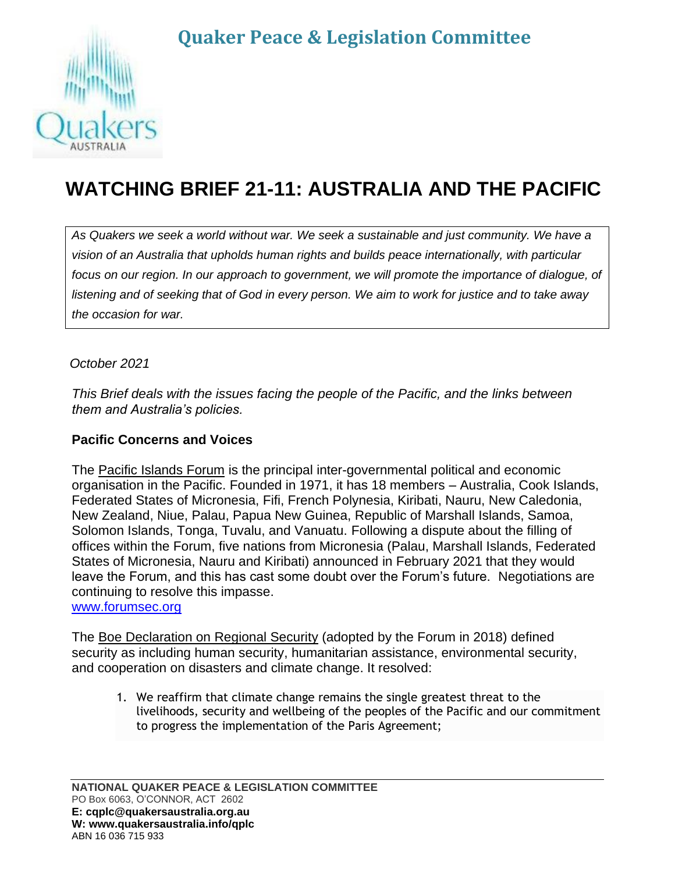## **Quaker Peace & Legislation Committee**



# **WATCHING BRIEF 21-11: AUSTRALIA AND THE PACIFIC**

As Quakers we seek a world without war. We seek a sustainable and just community. We have a *vision of an Australia that upholds human rights and builds peace internationally, with particular focus on our region. In our approach to government, we will promote the importance of dialogue, of listening and of seeking that of God in every person. We aim to work for justice and to take away the occasion for war.*

*October 2021*

*This Brief deals with the issues facing the people of the Pacific, and the links between them and Australia's policies.*

#### **Pacific Concerns and Voices**

The Pacific Islands Forum is the principal inter-governmental political and economic organisation in the Pacific. Founded in 1971, it has 18 members – Australia, Cook Islands, Federated States of Micronesia, Fifi, French Polynesia, Kiribati, Nauru, New Caledonia, New Zealand, Niue, Palau, Papua New Guinea, Republic of Marshall Islands, Samoa, Solomon Islands, Tonga, Tuvalu, and Vanuatu. Following a dispute about the filling of offices within the Forum, five nations from Micronesia (Palau, Marshall Islands, Federated States of Micronesia, Nauru and Kiribati) announced in February 2021 that they would leave the Forum, and this has cast some doubt over the Forum's future. Negotiations are continuing to resolve this impasse.

[www.forumsec.org](http://www.forumsec.org/)

The Boe Declaration on Regional Security (adopted by the Forum in 2018) defined security as including human security, humanitarian assistance, environmental security, and cooperation on disasters and climate change. It resolved:

1. We reaffirm that climate change remains the single greatest threat to the livelihoods, security and wellbeing of the peoples of the Pacific and our commitment to progress the implementation of the Paris Agreement;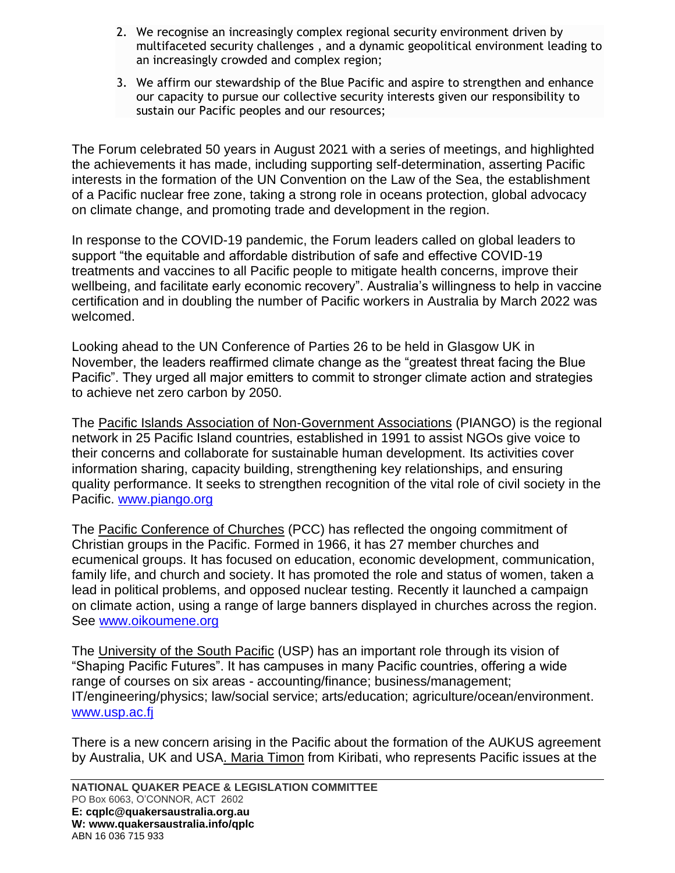- 2. We recognise an increasingly complex regional security environment driven by multifaceted security challenges , and a dynamic geopolitical environment leading to an increasingly crowded and complex region;
- 3. We affirm our stewardship of the Blue Pacific and aspire to strengthen and enhance our capacity to pursue our collective security interests given our responsibility to sustain our Pacific peoples and our resources;

The Forum celebrated 50 years in August 2021 with a series of meetings, and highlighted the achievements it has made, including supporting self-determination, asserting Pacific interests in the formation of the UN Convention on the Law of the Sea, the establishment of a Pacific nuclear free zone, taking a strong role in oceans protection, global advocacy on climate change, and promoting trade and development in the region.

In response to the COVID-19 pandemic, the Forum leaders called on global leaders to support "the equitable and affordable distribution of safe and effective COVID-19 treatments and vaccines to all Pacific people to mitigate health concerns, improve their wellbeing, and facilitate early economic recovery". Australia's willingness to help in vaccine certification and in doubling the number of Pacific workers in Australia by March 2022 was welcomed.

Looking ahead to the UN Conference of Parties 26 to be held in Glasgow UK in November, the leaders reaffirmed climate change as the "greatest threat facing the Blue Pacific". They urged all major emitters to commit to stronger climate action and strategies to achieve net zero carbon by 2050.

The Pacific Islands Association of Non-Government Associations (PIANGO) is the regional network in 25 Pacific Island countries, established in 1991 to assist NGOs give voice to their concerns and collaborate for sustainable human development. Its activities cover information sharing, capacity building, strengthening key relationships, and ensuring quality performance. It seeks to strengthen recognition of the vital role of civil society in the Pacific. [www.piango.org](http://www.piango.org/)

The Pacific Conference of Churches (PCC) has reflected the ongoing commitment of Christian groups in the Pacific. Formed in 1966, it has 27 member churches and ecumenical groups. It has focused on education, economic development, communication, family life, and church and society. It has promoted the role and status of women, taken a lead in political problems, and opposed nuclear testing. Recently it launched a campaign on climate action, using a range of large banners displayed in churches across the region. See [www.oikoumene.org](http://www.oikoumene.org/)

The University of the South Pacific (USP) has an important role through its vision of "Shaping Pacific Futures". It has campuses in many Pacific countries, offering a wide range of courses on six areas - accounting/finance; business/management; IT/engineering/physics; law/social service; arts/education; agriculture/ocean/environment. [www.usp.ac.fj](http://www.usp.ac.fj/)

There is a new concern arising in the Pacific about the formation of the AUKUS agreement by Australia, UK and USA. Maria Timon from Kiribati, who represents Pacific issues at the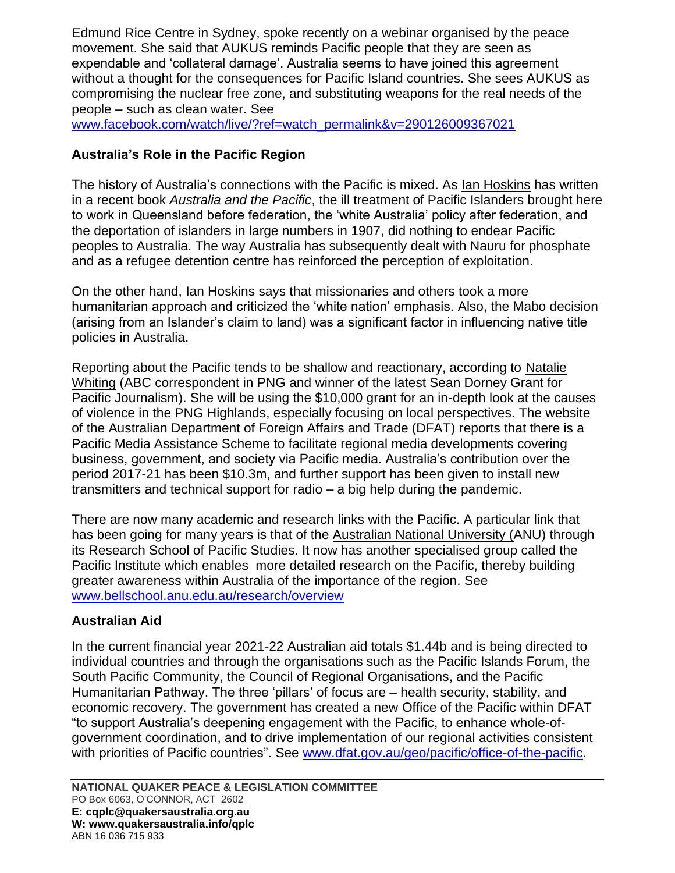Edmund Rice Centre in Sydney, spoke recently on a webinar organised by the peace movement. She said that AUKUS reminds Pacific people that they are seen as expendable and 'collateral damage'. Australia seems to have joined this agreement without a thought for the consequences for Pacific Island countries. She sees AUKUS as compromising the nuclear free zone, and substituting weapons for the real needs of the people – such as clean water. See

[www.facebook.com/watch/live/?ref=watch\\_permalink&v=290126009367021](http://www.facebook.com/watch/live/?ref=watch_permalink&v=290126009367021)

#### **Australia's Role in the Pacific Region**

The history of Australia's connections with the Pacific is mixed. As Ian Hoskins has written in a recent book *Australia and the Pacific*, the ill treatment of Pacific Islanders brought here to work in Queensland before federation, the 'white Australia' policy after federation, and the deportation of islanders in large numbers in 1907, did nothing to endear Pacific peoples to Australia. The way Australia has subsequently dealt with Nauru for phosphate and as a refugee detention centre has reinforced the perception of exploitation.

On the other hand, Ian Hoskins says that missionaries and others took a more humanitarian approach and criticized the 'white nation' emphasis. Also, the Mabo decision (arising from an Islander's claim to land) was a significant factor in influencing native title policies in Australia.

Reporting about the Pacific tends to be shallow and reactionary, according to Natalie Whiting (ABC correspondent in PNG and winner of the latest Sean Dorney Grant for Pacific Journalism). She will be using the \$10,000 grant for an in-depth look at the causes of violence in the PNG Highlands, especially focusing on local perspectives. The website of the Australian Department of Foreign Affairs and Trade (DFAT) reports that there is a Pacific Media Assistance Scheme to facilitate regional media developments covering business, government, and society via Pacific media. Australia's contribution over the period 2017-21 has been \$10.3m, and further support has been given to install new transmitters and technical support for radio – a big help during the pandemic.

There are now many academic and research links with the Pacific. A particular link that has been going for many years is that of the Australian National University (ANU) through its Research School of Pacific Studies. It now has another specialised group called the Pacific Institute which enables more detailed research on the Pacific, thereby building greater awareness within Australia of the importance of the region. See [www.bellschool.anu.edu.au/research/overview](http://www.bellschool.anu.edu.au/research/overview)

#### **Australian Aid**

In the current financial year 2021-22 Australian aid totals \$1.44b and is being directed to individual countries and through the organisations such as the Pacific Islands Forum, the South Pacific Community, the Council of Regional Organisations, and the Pacific Humanitarian Pathway. The three 'pillars' of focus are – health security, stability, and economic recovery. The government has created a new Office of the Pacific within DFAT "to support Australia's deepening engagement with the Pacific, to enhance whole-ofgovernment coordination, and to drive implementation of our regional activities consistent with priorities of Pacific countries". See [www.dfat.gov.au/geo/pacific/office-of-the-pacific.](http://www.dfat.gov.au/geo/pacific/office-of-the-pacific)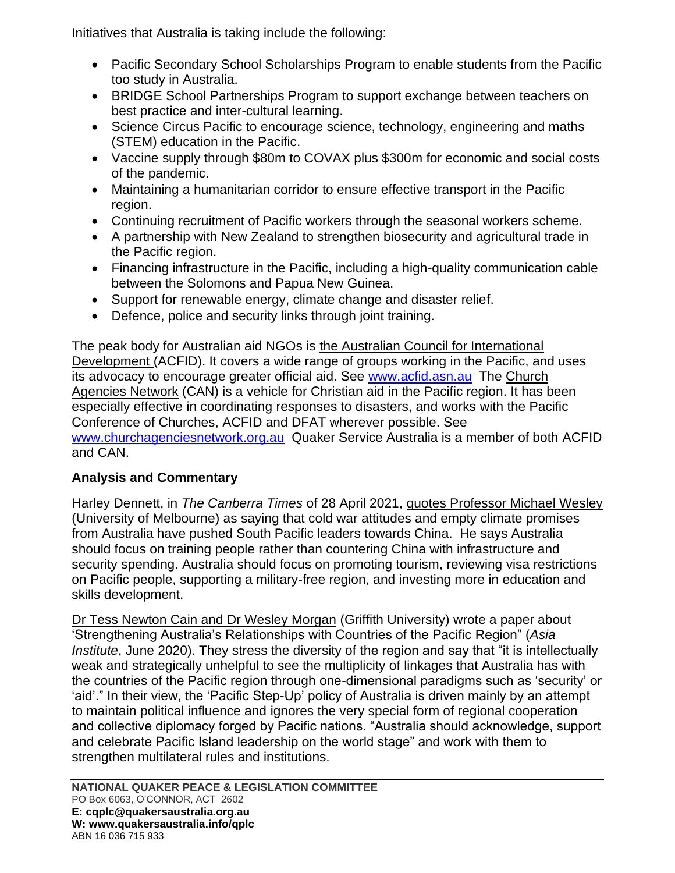Initiatives that Australia is taking include the following:

- Pacific Secondary School Scholarships Program to enable students from the Pacific too study in Australia.
- BRIDGE School Partnerships Program to support exchange between teachers on best practice and inter-cultural learning.
- Science Circus Pacific to encourage science, technology, engineering and maths (STEM) education in the Pacific.
- Vaccine supply through \$80m to COVAX plus \$300m for economic and social costs of the pandemic.
- Maintaining a humanitarian corridor to ensure effective transport in the Pacific region.
- Continuing recruitment of Pacific workers through the seasonal workers scheme.
- A partnership with New Zealand to strengthen biosecurity and agricultural trade in the Pacific region.
- Financing infrastructure in the Pacific, including a high-quality communication cable between the Solomons and Papua New Guinea.
- Support for renewable energy, climate change and disaster relief.
- Defence, police and security links through joint training.

The peak body for Australian aid NGOs is the Australian Council for International Development (ACFID). It covers a wide range of groups working in the Pacific, and uses its advocacy to encourage greater official aid. See [www.acfid.asn.au](http://www.acfid.asn.au/) The Church Agencies Network (CAN) is a vehicle for Christian aid in the Pacific region. It has been especially effective in coordinating responses to disasters, and works with the Pacific Conference of Churches, ACFID and DFAT wherever possible. See [www.churchagenciesnetwork.org.au](http://www.churchagenciesnetwork.org.au/) Quaker Service Australia is a member of both ACFID and CAN.

### **Analysis and Commentary**

Harley Dennett, in *The Canberra Times* of 28 April 2021, quotes Professor Michael Wesley (University of Melbourne) as saying that cold war attitudes and empty climate promises from Australia have pushed South Pacific leaders towards China. He says Australia should focus on training people rather than countering China with infrastructure and security spending. Australia should focus on promoting tourism, reviewing visa restrictions on Pacific people, supporting a military-free region, and investing more in education and skills development.

Dr Tess Newton Cain and Dr Wesley Morgan (Griffith University) wrote a paper about 'Strengthening Australia's Relationships with Countries of the Pacific Region" (*Asia Institute*, June 2020). They stress the diversity of the region and say that "it is intellectually weak and strategically unhelpful to see the multiplicity of linkages that Australia has with the countries of the Pacific region through one-dimensional paradigms such as 'security' or 'aid'." In their view, the 'Pacific Step-Up' policy of Australia is driven mainly by an attempt to maintain political influence and ignores the very special form of regional cooperation and collective diplomacy forged by Pacific nations. "Australia should acknowledge, support and celebrate Pacific Island leadership on the world stage" and work with them to strengthen multilateral rules and institutions.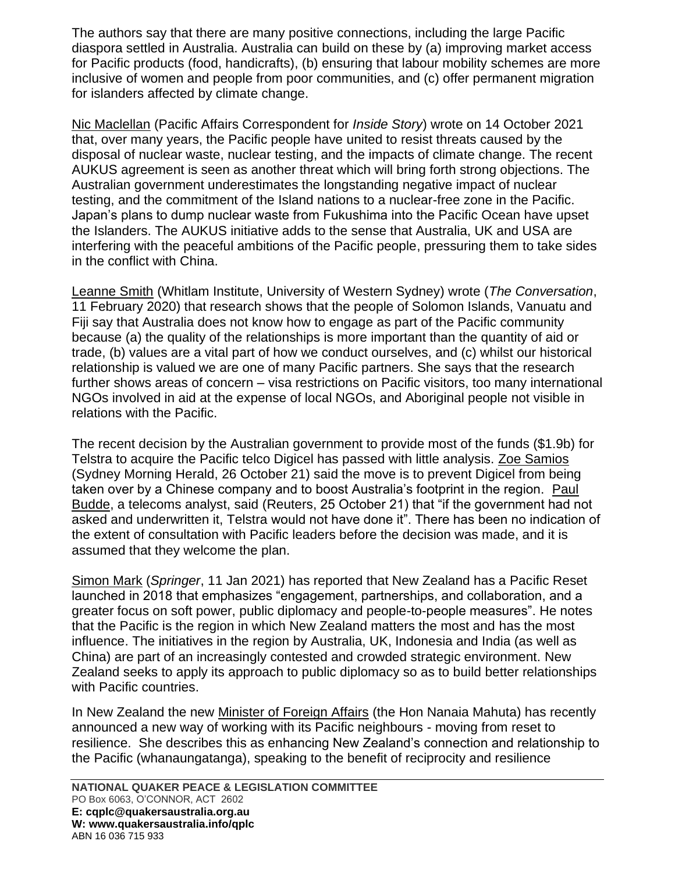The authors say that there are many positive connections, including the large Pacific diaspora settled in Australia. Australia can build on these by (a) improving market access for Pacific products (food, handicrafts), (b) ensuring that labour mobility schemes are more inclusive of women and people from poor communities, and (c) offer permanent migration for islanders affected by climate change.

Nic Maclellan (Pacific Affairs Correspondent for *Inside Story*) wrote on 14 October 2021 that, over many years, the Pacific people have united to resist threats caused by the disposal of nuclear waste, nuclear testing, and the impacts of climate change. The recent AUKUS agreement is seen as another threat which will bring forth strong objections. The Australian government underestimates the longstanding negative impact of nuclear testing, and the commitment of the Island nations to a nuclear-free zone in the Pacific. Japan's plans to dump nuclear waste from Fukushima into the Pacific Ocean have upset the Islanders. The AUKUS initiative adds to the sense that Australia, UK and USA are interfering with the peaceful ambitions of the Pacific people, pressuring them to take sides in the conflict with China.

Leanne Smith (Whitlam Institute, University of Western Sydney) wrote (*The Conversation*, 11 February 2020) that research shows that the people of Solomon Islands, Vanuatu and Fiji say that Australia does not know how to engage as part of the Pacific community because (a) the quality of the relationships is more important than the quantity of aid or trade, (b) values are a vital part of how we conduct ourselves, and (c) whilst our historical relationship is valued we are one of many Pacific partners. She says that the research further shows areas of concern – visa restrictions on Pacific visitors, too many international NGOs involved in aid at the expense of local NGOs, and Aboriginal people not visible in relations with the Pacific.

The recent decision by the Australian government to provide most of the funds (\$1.9b) for Telstra to acquire the Pacific telco Digicel has passed with little analysis. Zoe Samios (Sydney Morning Herald, 26 October 21) said the move is to prevent Digicel from being taken over by a Chinese company and to boost Australia's footprint in the region. Paul Budde, a telecoms analyst, said (Reuters, 25 October 21) that "if the government had not asked and underwritten it, Telstra would not have done it". There has been no indication of the extent of consultation with Pacific leaders before the decision was made, and it is assumed that they welcome the plan.

Simon Mark (*Springer*, 11 Jan 2021) has reported that New Zealand has a Pacific Reset launched in 2018 that emphasizes "engagement, partnerships, and collaboration, and a greater focus on soft power, public diplomacy and people-to-people measures". He notes that the Pacific is the region in which New Zealand matters the most and has the most influence. The initiatives in the region by Australia, UK, Indonesia and India (as well as China) are part of an increasingly contested and crowded strategic environment. New Zealand seeks to apply its approach to public diplomacy so as to build better relationships with Pacific countries.

In New Zealand the new Minister of Foreign Affairs (the Hon Nanaia Mahuta) has recently announced a new way of working with its Pacific neighbours - moving from reset to resilience. She describes this as enhancing New Zealand's connection and relationship to the Pacific (whanaungatanga), speaking to the benefit of reciprocity and resilience